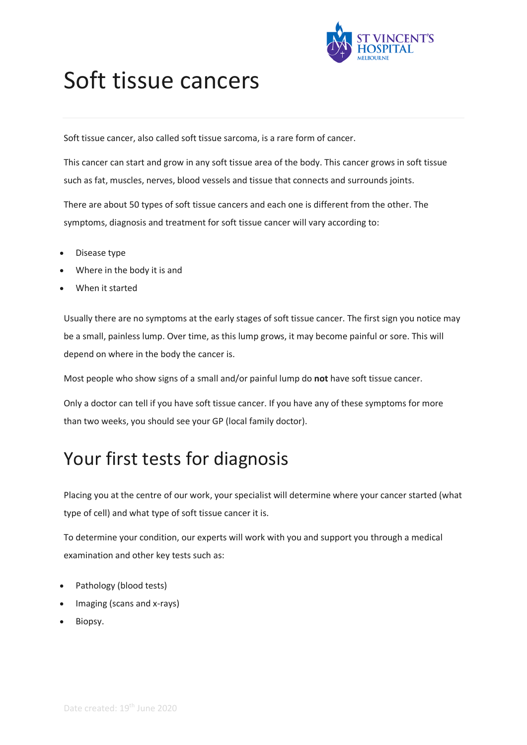

# Soft tissue cancers

Soft tissue cancer, also called soft tissue sarcoma, is a rare form of cancer.

This cancer can start and grow in any soft tissue area of the body. This cancer grows in soft tissue such as fat, muscles, nerves, blood vessels and tissue that connects and surrounds joints.

There are about 50 types of soft tissue cancers and each one is different from the other. The symptoms, diagnosis and treatment for soft tissue cancer will vary according to:

- Disease type
- Where in the body it is and
- When it started

Usually there are no symptoms at the early stages of soft tissue cancer. The first sign you notice may be a small, painless lump. Over time, as this lump grows, it may become painful or sore. This will depend on where in the body the cancer is.

Most people who show signs of a small and/or painful lump do **not** have soft tissue cancer.

Only a doctor can tell if you have soft tissue cancer. If you have any of these symptoms for more than two weeks, you should see your GP (local family doctor).

### Your first tests for diagnosis

Placing you at the centre of our work, your specialist will determine where your cancer started (what type of cell) and what type of soft tissue cancer it is.

To determine your condition, our experts will work with you and support you through a medical examination and other key tests such as:

- Pathology (blood tests)
- Imaging (scans and x-rays)
- Biopsy.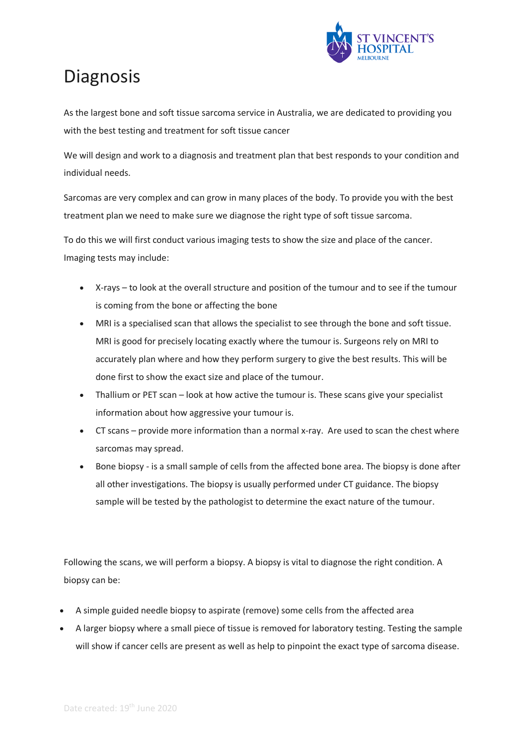

### **Diagnosis**

As the largest bone and soft tissue sarcoma service in Australia, we are dedicated to providing you with the best testing and treatment for soft tissue cancer

We will design and work to a diagnosis and treatment plan that best responds to your condition and individual needs.

Sarcomas are very complex and can grow in many places of the body. To provide you with the best treatment plan we need to make sure we diagnose the right type of soft tissue sarcoma.

To do this we will first conduct various imaging tests to show the size and place of the cancer. Imaging tests may include:

- X-rays to look at the overall structure and position of the tumour and to see if the tumour is coming from the bone or affecting the bone
- MRI is a specialised scan that allows the specialist to see through the bone and soft tissue. MRI is good for precisely locating exactly where the tumour is. Surgeons rely on MRI to accurately plan where and how they perform surgery to give the best results. This will be done first to show the exact size and place of the tumour.
- Thallium or PET scan look at how active the tumour is. These scans give your specialist information about how aggressive your tumour is.
- CT scans provide more information than a normal x-ray. Are used to scan the chest where sarcomas may spread.
- Bone biopsy is a small sample of cells from the affected bone area. The biopsy is done after all other investigations. The biopsy is usually performed under CT guidance. The biopsy sample will be tested by the pathologist to determine the exact nature of the tumour.

Following the scans, we will perform a biopsy. A biopsy is vital to diagnose the right condition. A biopsy can be:

- A simple guided needle biopsy to aspirate (remove) some cells from the affected area
- A larger biopsy where a small piece of tissue is removed for laboratory testing. Testing the sample will show if cancer cells are present as well as help to pinpoint the exact type of sarcoma disease.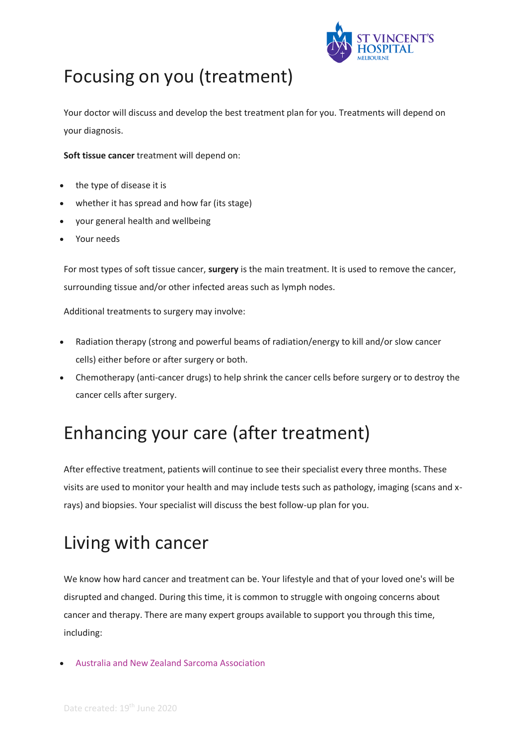

# Focusing on you (treatment)

Your doctor will discuss and develop the best treatment plan for you. Treatments will depend on your diagnosis.

**Soft tissue cancer** treatment will depend on:

- the type of disease it is
- whether it has spread and how far (its stage)
- your general health and wellbeing
- Your needs

For most types of soft tissue cancer, **surgery** is the main treatment. It is used to remove the cancer, surrounding tissue and/or other infected areas such as lymph nodes.

Additional treatments to surgery may involve:

- Radiation therapy (strong and powerful beams of radiation/energy to kill and/or slow cancer cells) either before or after surgery or both.
- Chemotherapy (anti-cancer drugs) to help shrink the cancer cells before surgery or to destroy the cancer cells after surgery.

## Enhancing your care (after treatment)

After effective treatment, patients will continue to see their specialist every three months. These visits are used to monitor your health and may include tests such as pathology, imaging (scans and xrays) and biopsies. Your specialist will discuss the best follow-up plan for you.

# Living with cancer

We know how hard cancer and treatment can be. Your lifestyle and that of your loved one's will be disrupted and changed. During this time, it is common to struggle with ongoing concerns about cancer and therapy. There are many expert groups available to support you through this time, including:

[Australia and New Zealand Sarcoma Association](https://sarcoma.org.au/)